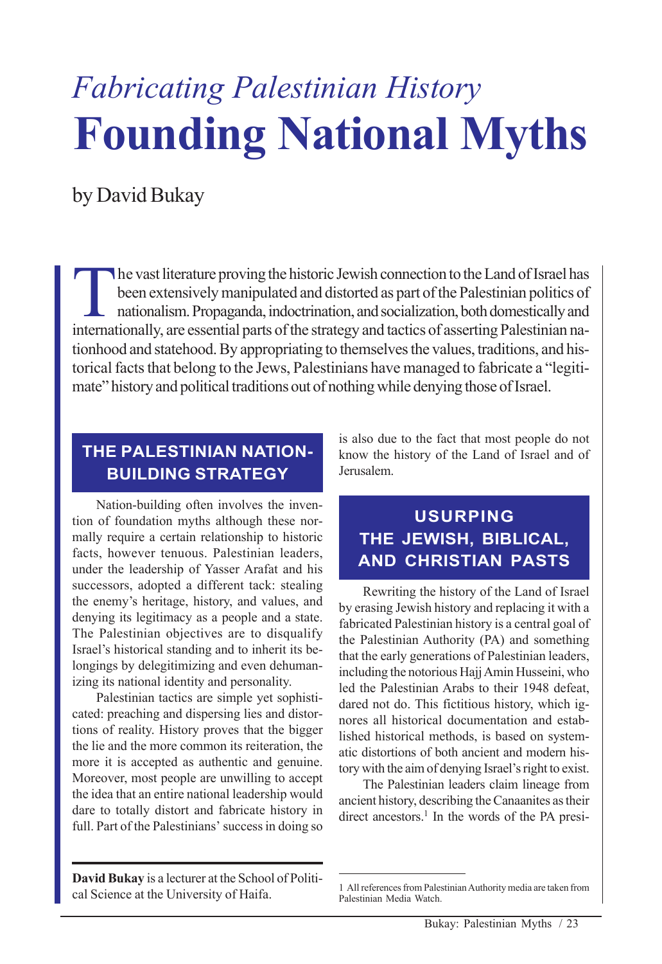# *Fabricating Palestinian History* **Founding National Myths**

by David Bukay

The vast literature proving the historic Jewish connection to the Land of Israel has been extensively manipulated and distorted as part of the Palestinian politics of nationalism. Propaganda, indoctrination, and socialization, both domestically and internationally, are essential parts of the strategy and tactics of asserting Palestinian nationhood and statehood. By appropriating to themselves the values, traditions, and historical facts that belong to the Jews, Palestinians have managed to fabricate a "legitimate" history and political traditions out of nothing while denying those of Israel.

## **THE PALESTINIAN NATION-BUILDING STRATEGY**

Nation-building often involves the invention of foundation myths although these normally require a certain relationship to historic facts, however tenuous. Palestinian leaders, under the leadership of Yasser Arafat and his successors, adopted a different tack: stealing the enemy's heritage, history, and values, and denying its legitimacy as a people and a state. The Palestinian objectives are to disqualify Israel's historical standing and to inherit its belongings by delegitimizing and even dehumanizing its national identity and personality.

Palestinian tactics are simple yet sophisticated: preaching and dispersing lies and distortions of reality. History proves that the bigger the lie and the more common its reiteration, the more it is accepted as authentic and genuine. Moreover, most people are unwilling to accept the idea that an entire national leadership would dare to totally distort and fabricate history in full. Part of the Palestinians' success in doing so

is also due to the fact that most people do not know the history of the Land of Israel and of Jerusalem.

# **USURPING THE JEWISH, BIBLICAL, AND CHRISTIAN PASTS**

Rewriting the history of the Land of Israel by erasing Jewish history and replacing it with a fabricated Palestinian history is a central goal of the Palestinian Authority (PA) and something that the early generations of Palestinian leaders, including the notorious Hajj Amin Husseini, who led the Palestinian Arabs to their 1948 defeat, dared not do. This fictitious history, which ignores all historical documentation and established historical methods, is based on systematic distortions of both ancient and modern history with the aim of denying Israel's right to exist.

The Palestinian leaders claim lineage from ancient history, describing the Canaanites as their direct ancestors.<sup>1</sup> In the words of the PA presi-

**David Bukay** is a lecturer at the School of Political Science at the University of Haifa.

<sup>1</sup> All references from Palestinian Authority media are taken from Palestinian Media Watch.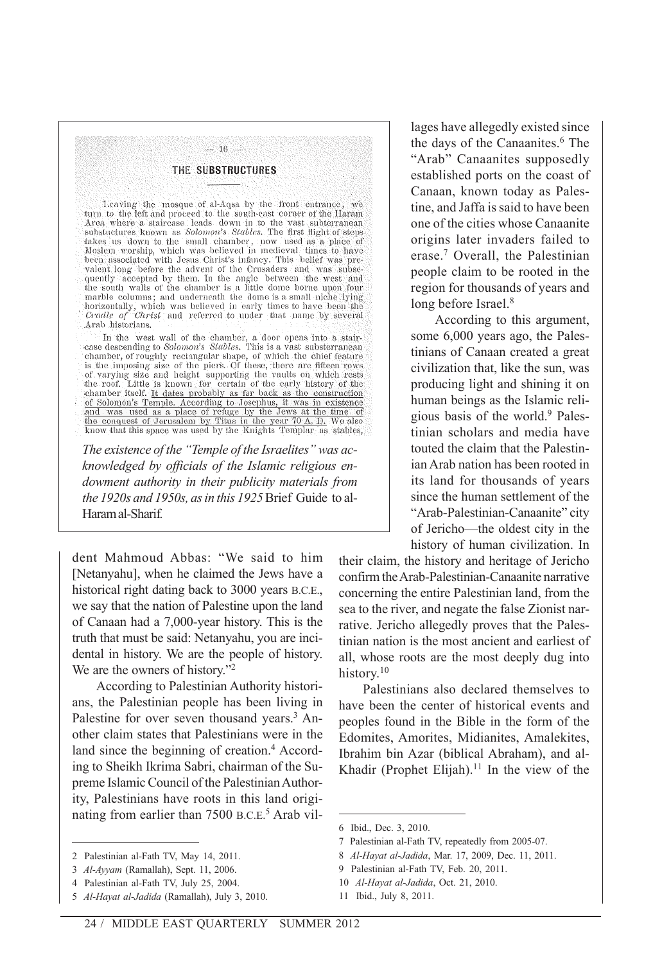#### $-16-$ THE SUBSTRUCTURES

Leaving the mosque of al-Aqsa by the front entrance, we turn to the left and proceed to the south-east corner of the Haram Area where a staircase leads down in to the vast subtetranean substuctures known as Solomon's Stab Moslem worship, which was believed in medieval times to have been associated with Jesus Christ's infancy. This belief was prevalent long before the advent of the Crusaders and was subsequently accepted by them. In the angle between the west and the south walls of the chamber is a little dome borne upon four the sound was of the channel is a nite dome is a small niche lying<br>horizontally, which was believed in early times to have been the<br>*Cradle of Christ* and referred to under that name by several Arab historians.

In the west wall of the chamber, a door opens into a stair-case descending to *Solomon's Stables*. This is a vast substerranean case descending to *Solomon's Statutes*. This is a vest substerranean<br>channer, of roughly rectangular shape, of which the chief feature<br>is the imposing size of the piers. Of these, there are fifteen rows<br>of varying size an dia channer itself. It dates probably as far back as the construction<br>of Solomon's Temple. According to Josephus, it was in existence<br>and was used as a place of refuge by the Jews at the time of the conquest of Jerusalem by Titus in the year 70 A.D. We also know that this space was used by the Knights Templar as stables,

*The existence of the "Temple of the Israelites" was acknowledged by officials of the Islamic religious endowment authority in their publicity materials from the 1920s and 1950s, as in this 1925* Brief Guide to al-Haram al-Sharif*.*

dent Mahmoud Abbas: "We said to him [Netanyahu], when he claimed the Jews have a historical right dating back to 3000 years B.C.E., we say that the nation of Palestine upon the land of Canaan had a 7,000-year history. This is the truth that must be said: Netanyahu, you are incidental in history. We are the people of history. We are the owners of history."<sup>2</sup>

According to Palestinian Authority historians, the Palestinian people has been living in Palestine for over seven thousand years.<sup>3</sup> Another claim states that Palestinians were in the land since the beginning of creation.<sup>4</sup> According to Sheikh Ikrima Sabri, chairman of the Supreme Islamic Council of the Palestinian Authority, Palestinians have roots in this land originating from earlier than 7500 B.C.E.<sup>5</sup> Arab villages have allegedly existed since the days of the Canaanites.<sup>6</sup> The "Arab" Canaanites supposedly established ports on the coast of Canaan, known today as Palestine, and Jaffa is said to have been one of the cities whose Canaanite origins later invaders failed to erase.7 Overall, the Palestinian people claim to be rooted in the region for thousands of years and long before Israel.<sup>8</sup>

According to this argument, some 6,000 years ago, the Palestinians of Canaan created a great civilization that, like the sun, was producing light and shining it on human beings as the Islamic religious basis of the world.9 Palestinian scholars and media have touted the claim that the Palestinian Arab nation has been rooted in its land for thousands of years since the human settlement of the "Arab-Palestinian-Canaanite" city of Jericho—the oldest city in the history of human civilization. In

their claim, the history and heritage of Jericho confirm the Arab-Palestinian-Canaanite narrative concerning the entire Palestinian land, from the sea to the river, and negate the false Zionist narrative. Jericho allegedly proves that the Palestinian nation is the most ancient and earliest of all, whose roots are the most deeply dug into history.<sup>10</sup>

Palestinians also declared themselves to have been the center of historical events and peoples found in the Bible in the form of the Edomites, Amorites, Midianites, Amalekites, Ibrahim bin Azar (biblical Abraham), and al-Khadir (Prophet Elijah).<sup>11</sup> In the view of the

<sup>2</sup> Palestinian al-Fath TV, May 14, 2011.

<sup>3</sup> *Al-Ayyam* (Ramallah), Sept. 11, 2006.

<sup>4</sup> Palestinian al-Fath TV, July 25, 2004.

<sup>5</sup> *Al-Hayat al-Jadida* (Ramallah), July 3, 2010.

<sup>6</sup> Ibid., Dec. 3, 2010.

<sup>7</sup> Palestinian al-Fath TV, repeatedly from 2005-07.

<sup>8</sup> *Al-Hayat al-Jadida*, Mar. 17, 2009, Dec. 11, 2011.

<sup>9</sup> Palestinian al-Fath TV, Feb. 20, 2011.

<sup>10</sup> *Al-Hayat al-Jadida*, Oct. 21, 2010.

<sup>11</sup> Ibid., July 8, 2011.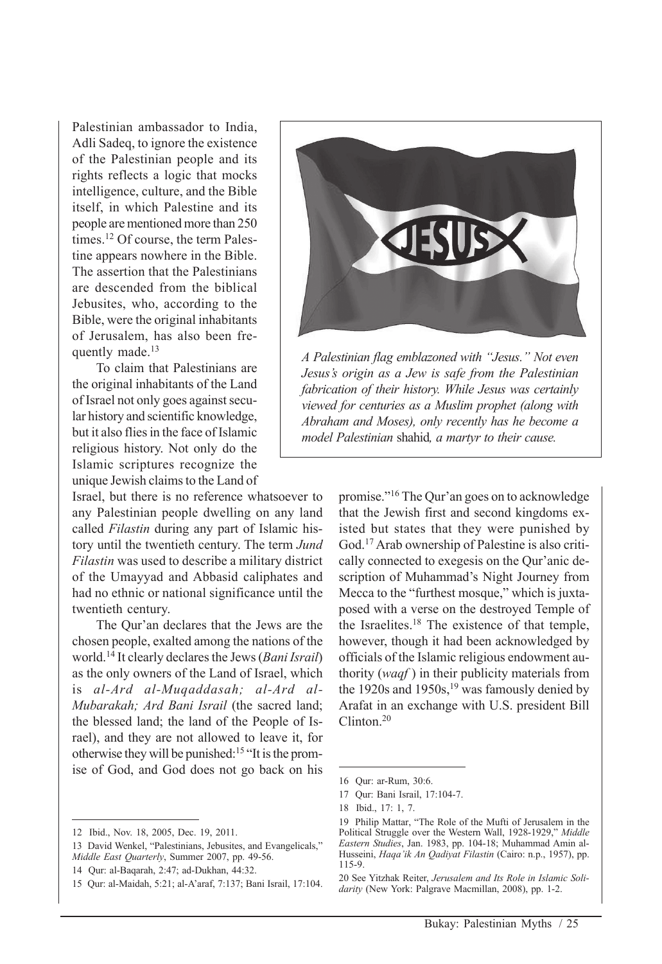Palestinian ambassador to India, Adli Sadeq, to ignore the existence of the Palestinian people and its rights reflects a logic that mocks intelligence, culture, and the Bible itself, in which Palestine and its people are mentioned more than 250 times.<sup>12</sup> Of course, the term Palestine appears nowhere in the Bible. The assertion that the Palestinians are descended from the biblical Jebusites, who, according to the Bible, were the original inhabitants of Jerusalem, has also been frequently made.<sup>13</sup>

To claim that Palestinians are the original inhabitants of the Land of Israel not only goes against secular history and scientific knowledge, but it also flies in the face of Islamic religious history. Not only do the Islamic scriptures recognize the unique Jewish claims to the Land of

Israel, but there is no reference whatsoever to any Palestinian people dwelling on any land called *Filastin* during any part of Islamic history until the twentieth century. The term *Jund Filastin* was used to describe a military district of the Umayyad and Abbasid caliphates and had no ethnic or national significance until the twentieth century.

The Qur'an declares that the Jews are the chosen people, exalted among the nations of the world.14 It clearly declares the Jews (*Bani Israil*) as the only owners of the Land of Israel, which is *al-Ard al-Muqaddasah; al-Ard al-Mubarakah; Ard Bani Israil* (the sacred land; the blessed land; the land of the People of Israel), and they are not allowed to leave it, for otherwise they will be punished:15 "It is the promise of God, and God does not go back on his



*A Palestinian flag emblazoned with "Jesus." Not even Jesus's origin as a Jew is safe from the Palestinian fabrication of their history. While Jesus was certainly viewed for centuries as a Muslim prophet (along with Abraham and Moses), only recently has he become a model Palestinian* shahid*, a martyr to their cause.*

promise."16 The Qur'an goes on to acknowledge that the Jewish first and second kingdoms existed but states that they were punished by God.17 Arab ownership of Palestine is also critically connected to exegesis on the Qur'anic description of Muhammad's Night Journey from Mecca to the "furthest mosque," which is juxtaposed with a verse on the destroyed Temple of the Israelites.18 The existence of that temple, however, though it had been acknowledged by officials of the Islamic religious endowment authority (*waqf* ) in their publicity materials from the 1920s and 1950s,  $19$  was famously denied by Arafat in an exchange with U.S. president Bill Clinton.20

<sup>12</sup> Ibid., Nov. 18, 2005, Dec. 19, 2011.

<sup>13</sup> David Wenkel, "Palestinians, Jebusites, and Evangelicals," *Middle East Quarterly*, Summer 2007, pp. 49-56.

<sup>14</sup> Qur: al-Baqarah, 2:47; ad-Dukhan, 44:32.

<sup>15</sup> Qur: al-Maidah, 5:21; al-A'araf, 7:137; Bani Israil, 17:104.

<sup>16</sup> Qur: ar-Rum, 30:6.

<sup>17</sup> Qur: Bani Israil, 17:104-7.

<sup>18</sup> Ibid., 17: 1, 7.

<sup>19</sup> Philip Mattar, "The Role of the Mufti of Jerusalem in the Political Struggle over the Western Wall, 1928-1929," *Middle Eastern Studies*, Jan. 1983, pp. 104-18; Muhammad Amin al-Husseini, *Haqa'ik An Qadiyat Filastin* (Cairo: n.p., 1957), pp. 115-9.

<sup>20</sup> See Yitzhak Reiter, *Jerusalem and Its Role in Islamic Solidarity* (New York: Palgrave Macmillan, 2008), pp. 1-2.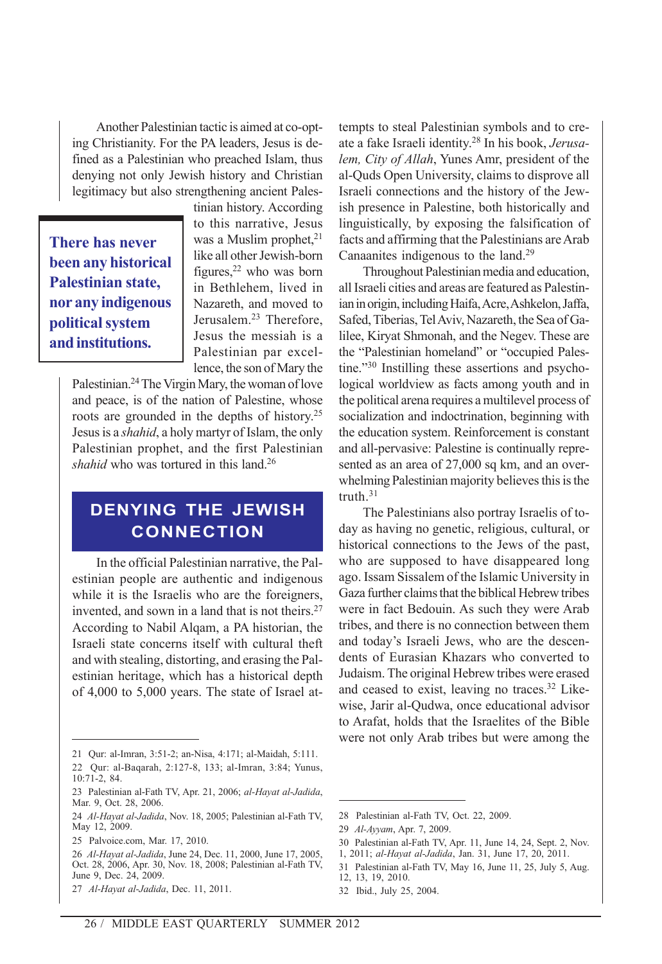Another Palestinian tactic is aimed at co-opting Christianity. For the PA leaders, Jesus is defined as a Palestinian who preached Islam, thus denying not only Jewish history and Christian legitimacy but also strengthening ancient Pales-

**There has never been any historical Palestinian state, nor any indigenous political system and institutions.**

tinian history. According to this narrative, Jesus was a Muslim prophet, $21$ like all other Jewish-born figures, $^{22}$  who was born in Bethlehem, lived in Nazareth, and moved to Jerusalem.23 Therefore, Jesus the messiah is a Palestinian par excellence, the son of Mary the

Palestinian.24 The Virgin Mary, the woman of love and peace, is of the nation of Palestine, whose roots are grounded in the depths of history.25 Jesus is a *shahid*, a holy martyr of Islam, the only Palestinian prophet, and the first Palestinian shahid who was tortured in this land.<sup>26</sup>

#### **DENYING THE JEWISH CONNECTION**

In the official Palestinian narrative, the Palestinian people are authentic and indigenous while it is the Israelis who are the foreigners, invented, and sown in a land that is not theirs.<sup>27</sup> According to Nabil Alqam, a PA historian, the Israeli state concerns itself with cultural theft and with stealing, distorting, and erasing the Palestinian heritage, which has a historical depth of 4,000 to 5,000 years. The state of Israel attempts to steal Palestinian symbols and to create a fake Israeli identity.28 In his book, *Jerusalem, City of Allah*, Yunes Amr, president of the al-Quds Open University, claims to disprove all Israeli connections and the history of the Jewish presence in Palestine, both historically and linguistically, by exposing the falsification of facts and affirming that the Palestinians are Arab Canaanites indigenous to the land.29

Throughout Palestinian media and education, all Israeli cities and areas are featured as Palestinian in origin, including Haifa, Acre, Ashkelon, Jaffa, Safed, Tiberias, Tel Aviv, Nazareth, the Sea of Galilee, Kiryat Shmonah, and the Negev. These are the "Palestinian homeland" or "occupied Palestine."30 Instilling these assertions and psychological worldview as facts among youth and in the political arena requires a multilevel process of socialization and indoctrination, beginning with the education system. Reinforcement is constant and all-pervasive: Palestine is continually represented as an area of 27,000 sq km, and an overwhelming Palestinian majority believes this is the truth.31

The Palestinians also portray Israelis of today as having no genetic, religious, cultural, or historical connections to the Jews of the past, who are supposed to have disappeared long ago. Issam Sissalem of the Islamic University in Gaza further claims that the biblical Hebrew tribes were in fact Bedouin. As such they were Arab tribes, and there is no connection between them and today's Israeli Jews, who are the descendents of Eurasian Khazars who converted to Judaism. The original Hebrew tribes were erased and ceased to exist, leaving no traces.32 Likewise, Jarir al-Qudwa, once educational advisor to Arafat, holds that the Israelites of the Bible were not only Arab tribes but were among the

- 30 Palestinian al-Fath TV, Apr. 11, June 14, 24, Sept. 2, Nov.
- 1, 2011; *al-Hayat al-Jadida*, Jan. 31, June 17, 20, 2011.

32 Ibid., July 25, 2004.

<sup>21</sup> Qur: al-Imran, 3:51-2; an-Nisa, 4:171; al-Maidah, 5:111.

<sup>22</sup> Qur: al-Baqarah, 2:127-8, 133; al-Imran, 3:84; Yunus, 10:71-2, 84.

<sup>23</sup> Palestinian al-Fath TV, Apr. 21, 2006; *al-Hayat al-Jadida*, Mar. 9, Oct. 28, 2006.

<sup>24</sup> *Al-Hayat al-Jadida*, Nov. 18, 2005; Palestinian al-Fath TV, May 12, 2009.

<sup>25</sup> Palvoice.com, Mar. 17, 2010.

<sup>26</sup> *Al-Hayat al-Jadida*, June 24, Dec. 11, 2000, June 17, 2005, Oct. 28, 2006, Apr. 30, Nov. 18, 2008; Palestinian al-Fath TV, June 9, Dec. 24, 2009.

<sup>27</sup> *Al-Hayat al-Jadida*, Dec. 11, 2011.

<sup>28</sup> Palestinian al-Fath TV, Oct. 22, 2009.

<sup>29</sup> *Al-Ayyam*, Apr. 7, 2009.

<sup>31</sup> Palestinian al-Fath TV, May 16, June 11, 25, July 5, Aug. 12, 13, 19, 2010.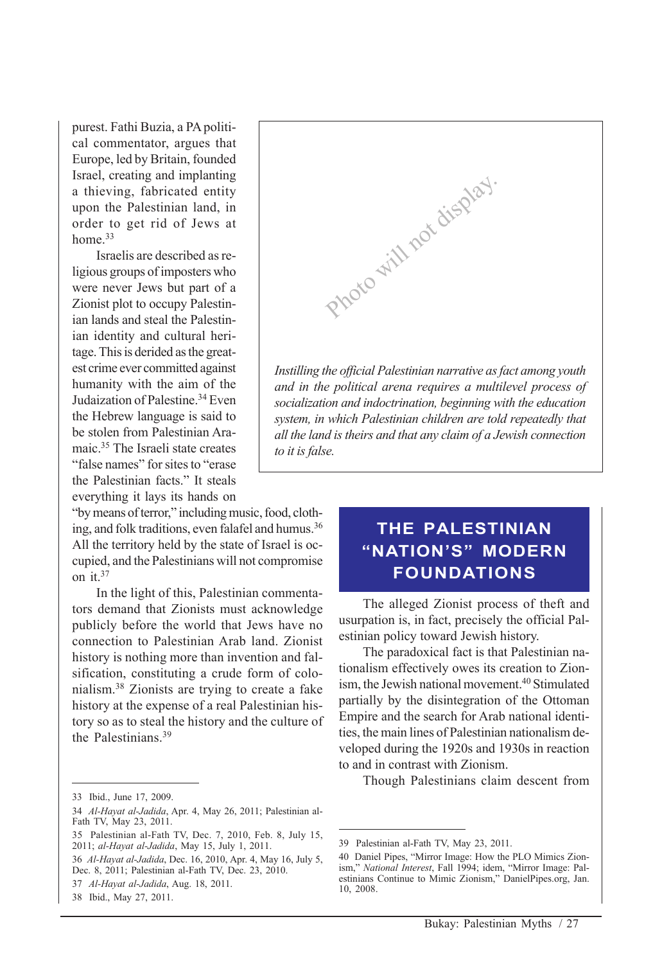purest. Fathi Buzia, a PA political commentator, argues that Europe, led by Britain, founded Israel, creating and implanting a thieving, fabricated entity upon the Palestinian land, in order to get rid of Jews at home.<sup>33</sup>

Israelis are described as religious groups of imposters who were never Jews but part of a Zionist plot to occupy Palestinian lands and steal the Palestinian identity and cultural heritage. This is derided as the greatest crime ever committed against humanity with the aim of the Judaization of Palestine.34 Even the Hebrew language is said to be stolen from Palestinian Aramaic.35 The Israeli state creates "false names" for sites to "erase" the Palestinian facts." It steals everything it lays its hands on

"by means of terror," including music, food, clothing, and folk traditions, even falafel and humus.<sup>36</sup> All the territory held by the state of Israel is occupied, and the Palestinians will not compromise on it.37

In the light of this, Palestinian commentators demand that Zionists must acknowledge publicly before the world that Jews have no connection to Palestinian Arab land. Zionist history is nothing more than invention and falsification, constituting a crude form of colonialism.38 Zionists are trying to create a fake history at the expense of a real Palestinian history so as to steal the history and the culture of the Palestinians.<sup>39</sup>



## **THE PALESTINIAN "NATION'S" MODERN FOUNDATIONS**

The alleged Zionist process of theft and usurpation is, in fact, precisely the official Palestinian policy toward Jewish history.

The paradoxical fact is that Palestinian nationalism effectively owes its creation to Zionism, the Jewish national movement.<sup>40</sup> Stimulated partially by the disintegration of the Ottoman Empire and the search for Arab national identities, the main lines of Palestinian nationalism developed during the 1920s and 1930s in reaction to and in contrast with Zionism.

Though Palestinians claim descent from

<sup>33</sup> Ibid., June 17, 2009.

<sup>34</sup> *Al-Hayat al-Jadida*, Apr. 4, May 26, 2011; Palestinian al-Fath TV, May 23, 2011.

<sup>35</sup> Palestinian al-Fath TV, Dec. 7, 2010, Feb. 8, July 15, 2011; *al-Hayat al-Jadida*, May 15, July 1, 2011.

<sup>36</sup> *Al-Hayat al-Jadida*, Dec. 16, 2010, Apr. 4, May 16, July 5, Dec. 8, 2011; Palestinian al-Fath TV, Dec. 23, 2010.

<sup>37</sup> *Al-Hayat al-Jadida*, Aug. 18, 2011.

<sup>38</sup> Ibid., May 27, 2011.

<sup>39</sup> Palestinian al-Fath TV, May 23, 2011.

<sup>40</sup> Daniel Pipes, "Mirror Image: How the PLO Mimics Zionism," *National Interest*, Fall 1994; idem, "Mirror Image: Palestinians Continue to Mimic Zionism," DanielPipes.org, Jan. 10, 2008.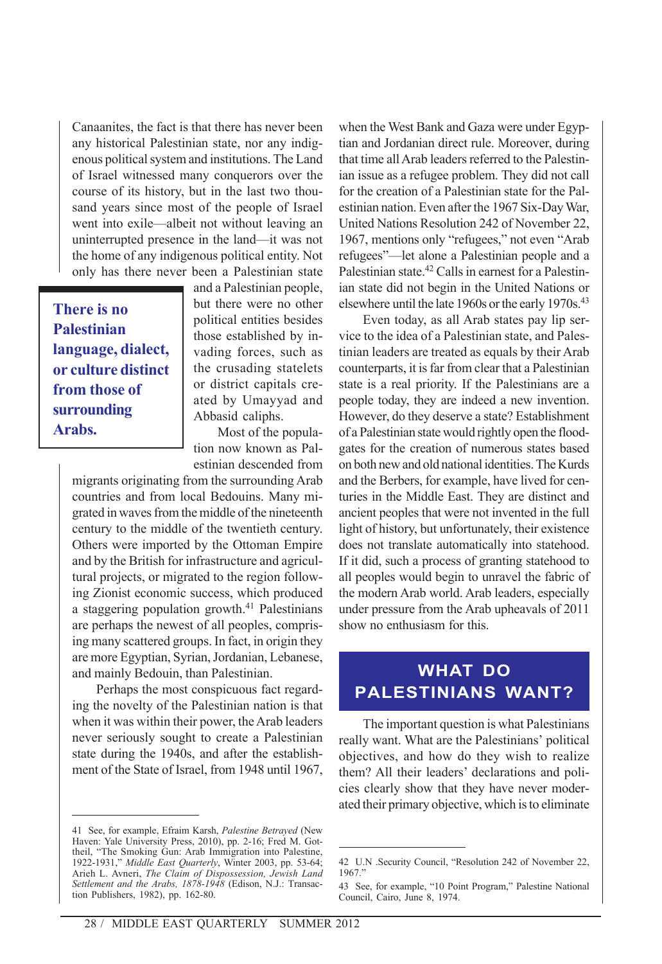Canaanites, the fact is that there has never been any historical Palestinian state, nor any indigenous political system and institutions. The Land of Israel witnessed many conquerors over the course of its history, but in the last two thousand years since most of the people of Israel went into exile—albeit not without leaving an uninterrupted presence in the land—it was not the home of any indigenous political entity. Not only has there never been a Palestinian state

**There is no Palestinian language, dialect, or culture distinct from those of surrounding Arabs.**

and a Palestinian people, but there were no other political entities besides those established by invading forces, such as the crusading statelets or district capitals created by Umayyad and Abbasid caliphs.

Most of the population now known as Palestinian descended from

migrants originating from the surrounding Arab countries and from local Bedouins. Many migrated in waves from the middle of the nineteenth century to the middle of the twentieth century. Others were imported by the Ottoman Empire and by the British for infrastructure and agricultural projects, or migrated to the region following Zionist economic success, which produced a staggering population growth.<sup>41</sup> Palestinians are perhaps the newest of all peoples, comprising many scattered groups. In fact, in origin they are more Egyptian, Syrian, Jordanian, Lebanese, and mainly Bedouin, than Palestinian.

Perhaps the most conspicuous fact regarding the novelty of the Palestinian nation is that when it was within their power, the Arab leaders never seriously sought to create a Palestinian state during the 1940s, and after the establishment of the State of Israel, from 1948 until 1967,

41 See, for example, Efraim Karsh, *Palestine Betrayed* (New Haven: Yale University Press, 2010), pp. 2-16; Fred M. Gottheil, "The Smoking Gun: Arab Immigration into Palestine, 1922-1931," *Middle East Quarterly*, Winter 2003, pp. 53-64; Arieh L. Avneri, *The Claim of Dispossession, Jewish Land Settlement and the Arabs, 1878-1948* (Edison, N.J.: Transaction Publishers, 1982), pp. 162-80.

when the West Bank and Gaza were under Egyptian and Jordanian direct rule. Moreover, during that time all Arab leaders referred to the Palestinian issue as a refugee problem. They did not call for the creation of a Palestinian state for the Palestinian nation. Even after the 1967 Six-Day War, United Nations Resolution 242 of November 22, 1967, mentions only "refugees," not even "Arab refugees"—let alone a Palestinian people and a Palestinian state.<sup>42</sup> Calls in earnest for a Palestinian state did not begin in the United Nations or elsewhere until the late 1960s or the early 1970s.<sup>43</sup>

Even today, as all Arab states pay lip service to the idea of a Palestinian state, and Palestinian leaders are treated as equals by their Arab counterparts, it is far from clear that a Palestinian state is a real priority. If the Palestinians are a people today, they are indeed a new invention. However, do they deserve a state? Establishment of a Palestinian state would rightly open the floodgates for the creation of numerous states based on both new and old national identities. The Kurds and the Berbers, for example, have lived for centuries in the Middle East. They are distinct and ancient peoples that were not invented in the full light of history, but unfortunately, their existence does not translate automatically into statehood. If it did, such a process of granting statehood to all peoples would begin to unravel the fabric of the modern Arab world. Arab leaders, especially under pressure from the Arab upheavals of 2011 show no enthusiasm for this.

## **WHAT DO PALESTINIANS WANT?**

The important question is what Palestinians really want. What are the Palestinians' political objectives, and how do they wish to realize them? All their leaders' declarations and policies clearly show that they have never moderated their primary objective, which is to eliminate

<sup>42</sup> U.N .Security Council, "Resolution 242 of November 22, 1967."

<sup>43</sup> See, for example, "10 Point Program," Palestine National Council, Cairo, June 8, 1974.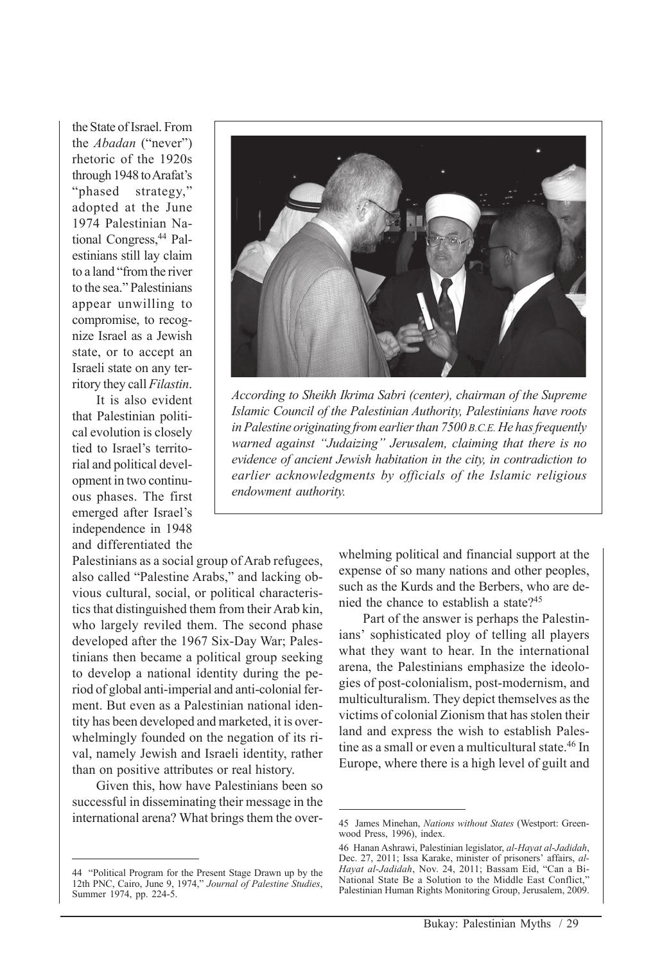the State of Israel. From the *Abadan* ("never") rhetoric of the 1920s through 1948 to Arafat's "phased strategy," adopted at the June 1974 Palestinian National Congress,<sup>44</sup> Palestinians still lay claim to a land "from the river to the sea." Palestinians appear unwilling to compromise, to recognize Israel as a Jewish state, or to accept an Israeli state on any territory they call *Filastin*.

It is also evident that Palestinian political evolution is closely tied to Israel's territorial and political development in two continuous phases. The first emerged after Israel's independence in 1948 and differentiated the

Palestinians as a social group of Arab refugees, also called "Palestine Arabs," and lacking obvious cultural, social, or political characteristics that distinguished them from their Arab kin, who largely reviled them. The second phase developed after the 1967 Six-Day War; Palestinians then became a political group seeking to develop a national identity during the period of global anti-imperial and anti-colonial ferment. But even as a Palestinian national identity has been developed and marketed, it is overwhelmingly founded on the negation of its rival, namely Jewish and Israeli identity, rather than on positive attributes or real history.

Given this, how have Palestinians been so successful in disseminating their message in the international arena? What brings them the over-



*According to Sheikh Ikrima Sabri (center), chairman of the Supreme Islamic Council of the Palestinian Authority, Palestinians have roots in Palestine originating from earlier than 7500 B.C.E. He has frequently warned against "Judaizing" Jerusalem, claiming that there is no evidence of ancient Jewish habitation in the city, in contradiction to earlier acknowledgments by officials of the Islamic religious endowment authority.*

whelming political and financial support at the expense of so many nations and other peoples, such as the Kurds and the Berbers, who are denied the chance to establish a state?45

Part of the answer is perhaps the Palestinians' sophisticated ploy of telling all players what they want to hear. In the international arena, the Palestinians emphasize the ideologies of post-colonialism, post-modernism, and multiculturalism. They depict themselves as the victims of colonial Zionism that has stolen their land and express the wish to establish Palestine as a small or even a multicultural state.<sup>46</sup> In Europe, where there is a high level of guilt and

<sup>44 &</sup>quot;Political Program for the Present Stage Drawn up by the 12th PNC, Cairo, June 9, 1974," *Journal of Palestine Studies*, Summer 1974, pp. 224-5.

<sup>45</sup> James Minehan, *Nations without States* (Westport: Greenwood Press, 1996), index.

<sup>46</sup> Hanan Ashrawi, Palestinian legislator, *al-Hayat al-Jadidah*, Dec. 27, 2011; Issa Karake, minister of prisoners' affairs, *al-Hayat al-Jadidah*, Nov. 24, 2011; Bassam Eid, "Can a Bi-National State Be a Solution to the Middle East Conflict," Palestinian Human Rights Monitoring Group, Jerusalem, 2009.